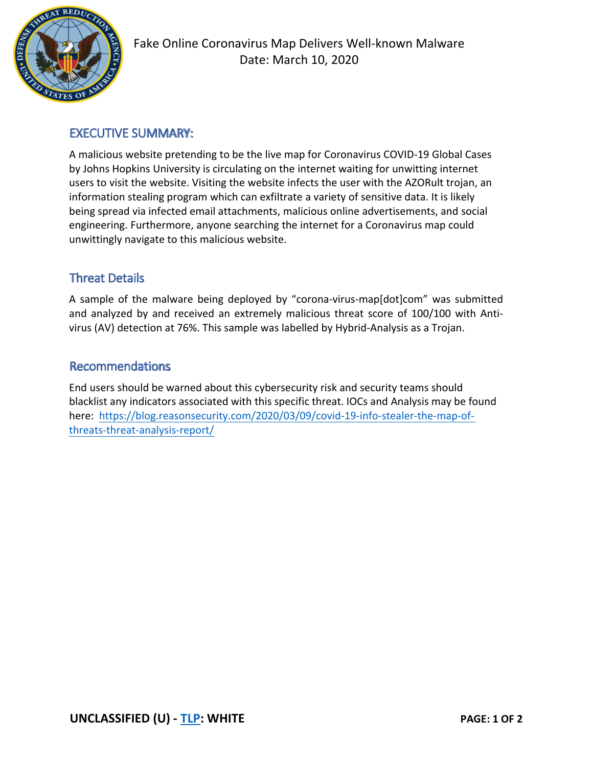

## EXECUTIVE SUMMARY:

A malicious website pretending to be the live map for Coronavirus COVID-19 Global Cases by Johns Hopkins University is circulating on the internet waiting for unwitting internet users to visit the website. Visiting the website infects the user with the AZORult trojan, an information stealing program which can exfiltrate a variety of sensitive data. It is likely being spread via infected email attachments, malicious online advertisements, and social engineering. Furthermore, anyone searching the internet for a Coronavirus map could unwittingly navigate to this malicious website.

## Threat Details

A sample of the malware being deployed by "corona-virus-map[dot]com" was submitted and analyzed by and received an extremely malicious threat score of 100/100 with Antivirus (AV) detection at 76%. This sample was labelled by Hybrid-Analysis as a Trojan.

#### Recommendations

End users should be warned about this cybersecurity risk and security teams should blacklist any indicators associated with this specific threat. IOCs and Analysis may be found here: https://blog.reasonsecurity.com/2020/03/09/covid-19-info-stealer-the-map-ofthreats-threat-analysis-report/